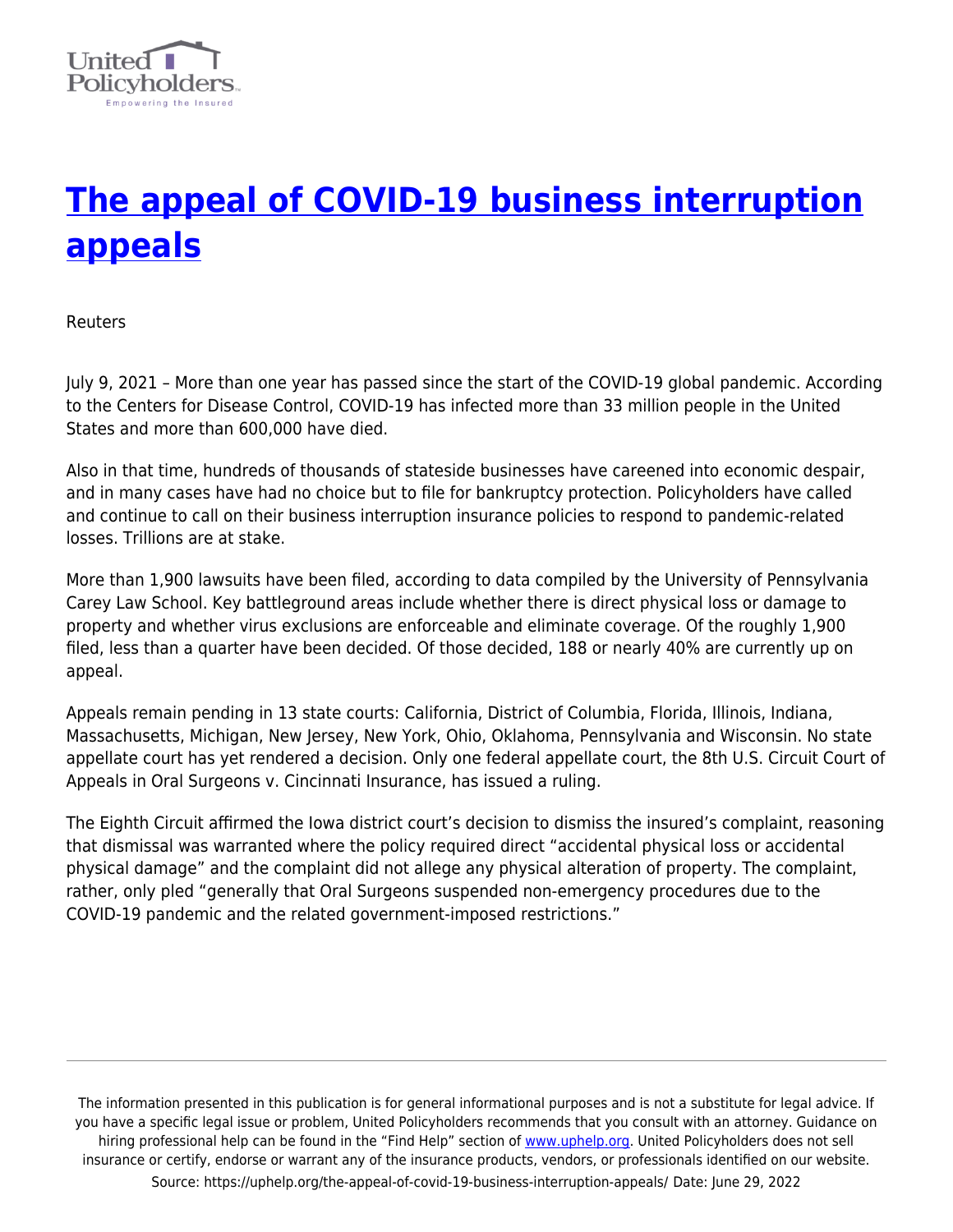

# **[The appeal of COVID-19 business interruption](https://uphelp.org/the-appeal-of-covid-19-business-interruption-appeals/) [appeals](https://uphelp.org/the-appeal-of-covid-19-business-interruption-appeals/)**

Reuters

July 9, 2021 – More than one year has passed since the start of the COVID-19 global pandemic. According to the Centers for Disease Control, COVID-19 has infected more than 33 million people in the United States and more than 600,000 have died.

Also in that time, hundreds of thousands of stateside businesses have careened into economic despair, and in many cases have had no choice but to file for bankruptcy protection. Policyholders have called and continue to call on their business interruption insurance policies to respond to pandemic-related losses. Trillions are at stake.

More than 1,900 lawsuits have been filed, according to data compiled by the University of Pennsylvania Carey Law School. Key battleground areas include whether there is direct physical loss or damage to property and whether virus exclusions are enforceable and eliminate coverage. Of the roughly 1,900 filed, less than a quarter have been decided. Of those decided, 188 or nearly 40% are currently up on appeal.

Appeals remain pending in 13 state courts: California, District of Columbia, Florida, Illinois, Indiana, Massachusetts, Michigan, New Jersey, New York, Ohio, Oklahoma, Pennsylvania and Wisconsin. No state appellate court has yet rendered a decision. Only one federal appellate court, the 8th U.S. Circuit Court of Appeals in Oral Surgeons v. Cincinnati Insurance, has issued a ruling.

The Eighth Circuit affirmed the Iowa district court's decision to dismiss the insured's complaint, reasoning that dismissal was warranted where the policy required direct "accidental physical loss or accidental physical damage" and the complaint did not allege any physical alteration of property. The complaint, rather, only pled "generally that Oral Surgeons suspended non-emergency procedures due to the COVID-19 pandemic and the related government-imposed restrictions."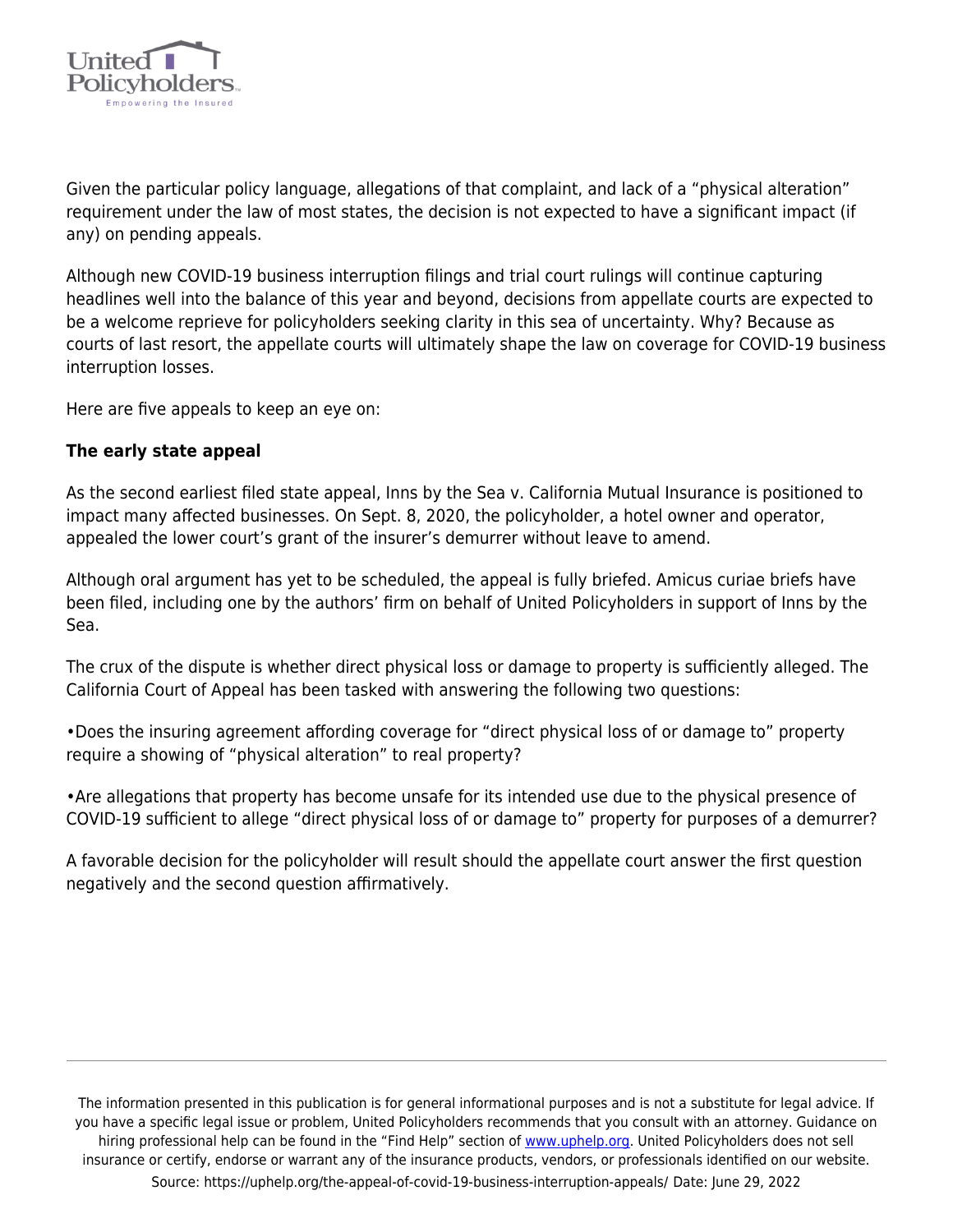

Given the particular policy language, allegations of that complaint, and lack of a "physical alteration" requirement under the law of most states, the decision is not expected to have a significant impact (if any) on pending appeals.

Although new COVID-19 business interruption filings and trial court rulings will continue capturing headlines well into the balance of this year and beyond, decisions from appellate courts are expected to be a welcome reprieve for policyholders seeking clarity in this sea of uncertainty. Why? Because as courts of last resort, the appellate courts will ultimately shape the law on coverage for COVID-19 business interruption losses.

Here are five appeals to keep an eye on:

# **The early state appeal**

As the second earliest filed state appeal, Inns by the Sea v. California Mutual Insurance is positioned to impact many affected businesses. On Sept. 8, 2020, the policyholder, a hotel owner and operator, appealed the lower court's grant of the insurer's demurrer without leave to amend.

Although oral argument has yet to be scheduled, the appeal is fully briefed. Amicus curiae briefs have been filed, including one by the authors' firm on behalf of United Policyholders in support of Inns by the Sea.

The crux of the dispute is whether direct physical loss or damage to property is sufficiently alleged. The California Court of Appeal has been tasked with answering the following two questions:

•Does the insuring agreement affording coverage for "direct physical loss of or damage to" property require a showing of "physical alteration" to real property?

•Are allegations that property has become unsafe for its intended use due to the physical presence of COVID-19 sufficient to allege "direct physical loss of or damage to" property for purposes of a demurrer?

A favorable decision for the policyholder will result should the appellate court answer the first question negatively and the second question affirmatively.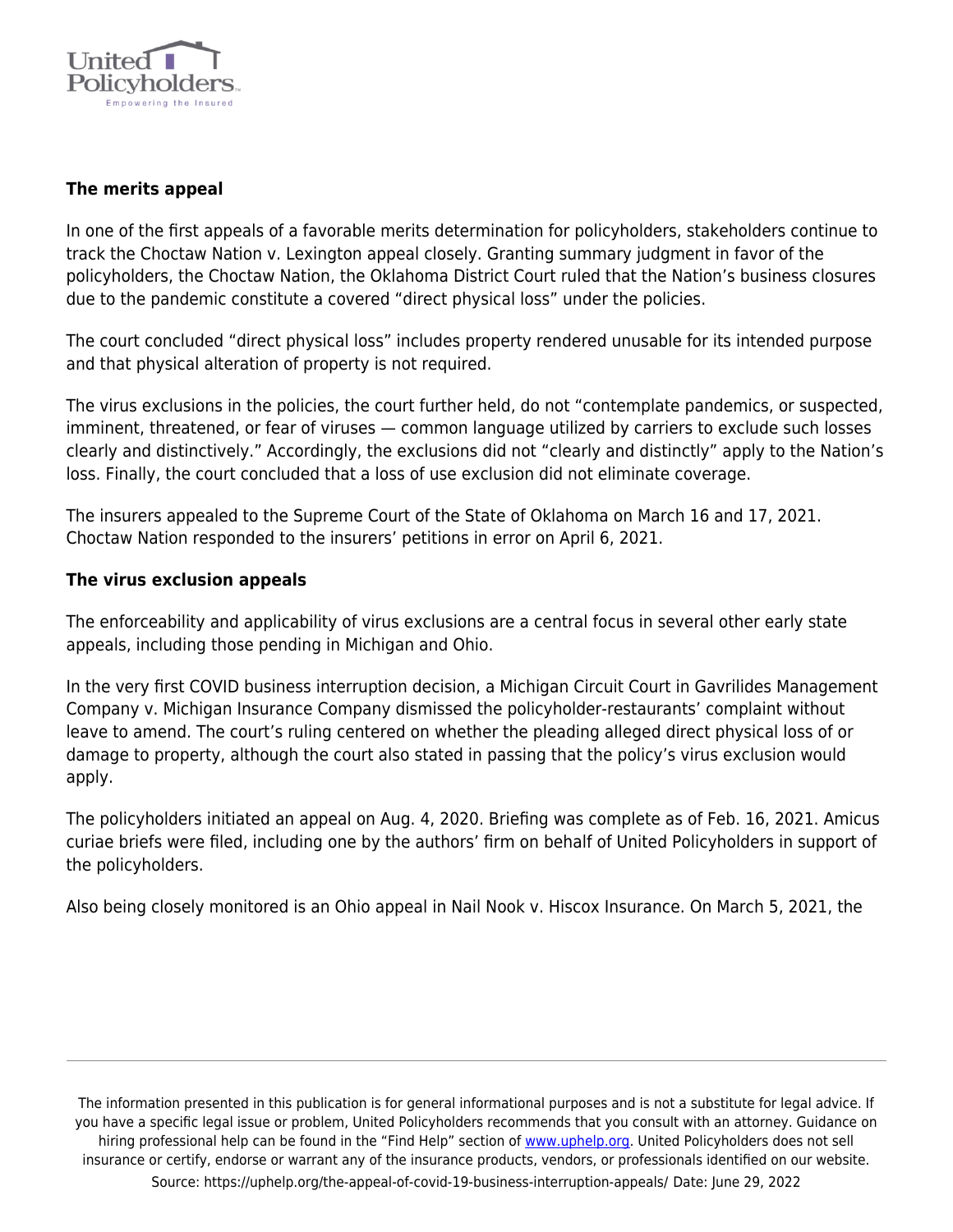

### **The merits appeal**

In one of the first appeals of a favorable merits determination for policyholders, stakeholders continue to track the Choctaw Nation v. Lexington appeal closely. Granting summary judgment in favor of the policyholders, the Choctaw Nation, the Oklahoma District Court ruled that the Nation's business closures due to the pandemic constitute a covered "direct physical loss" under the policies.

The court concluded "direct physical loss" includes property rendered unusable for its intended purpose and that physical alteration of property is not required.

The virus exclusions in the policies, the court further held, do not "contemplate pandemics, or suspected, imminent, threatened, or fear of viruses — common language utilized by carriers to exclude such losses clearly and distinctively." Accordingly, the exclusions did not "clearly and distinctly" apply to the Nation's loss. Finally, the court concluded that a loss of use exclusion did not eliminate coverage.

The insurers appealed to the Supreme Court of the State of Oklahoma on March 16 and 17, 2021. Choctaw Nation responded to the insurers' petitions in error on April 6, 2021.

#### **The virus exclusion appeals**

The enforceability and applicability of virus exclusions are a central focus in several other early state appeals, including those pending in Michigan and Ohio.

In the very first COVID business interruption decision, a Michigan Circuit Court in Gavrilides Management Company v. Michigan Insurance Company dismissed the policyholder-restaurants' complaint without leave to amend. The court's ruling centered on whether the pleading alleged direct physical loss of or damage to property, although the court also stated in passing that the policy's virus exclusion would apply.

The policyholders initiated an appeal on Aug. 4, 2020. Briefing was complete as of Feb. 16, 2021. Amicus curiae briefs were filed, including one by the authors' firm on behalf of United Policyholders in support of the policyholders.

Also being closely monitored is an Ohio appeal in Nail Nook v. Hiscox Insurance. On March 5, 2021, the